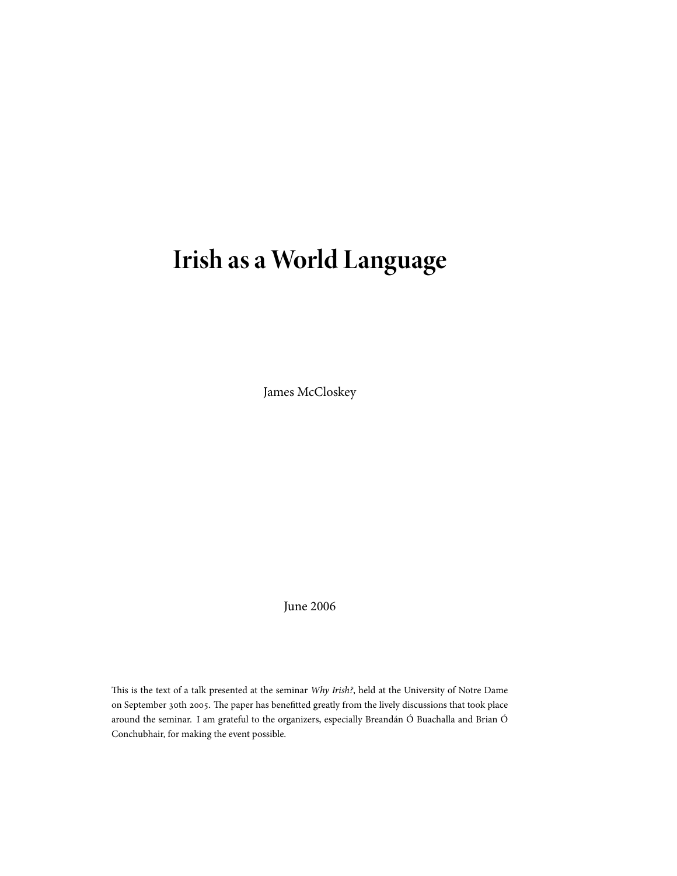# **Irish as a World Language**

James McCloskey

June 2006

This is the text of a talk presented at the seminar Why Irish?, held at the University of Notre Dame on September 30th 2005. The paper has benefitted greatly from the lively discussions that took place around the seminar. I am grateful to the organizers, especially Breandán Ó Buachalla and Brian Ó Conchubhair, for making the event possible.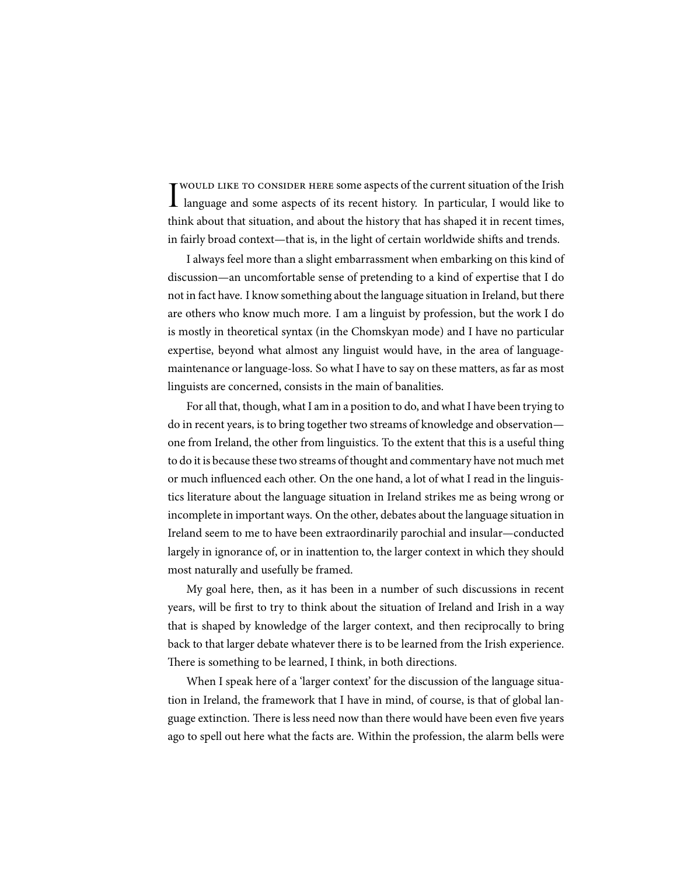I language and some aspects of its recent history. In particular, I would like to would like to consider here some aspects of the current situation of the Irish think about that situation, and about the history that has shaped it in recent times, in fairly broad context—that is, in the light of certain worldwide shi
s and trends.

I always feel more than a slight embarrassment when embarking on this kind of discussion—an uncomfortable sense of pretending to a kind of expertise that I do not in fact have. I know something about the language situation in Ireland, but there are others who know much more. I am a linguist by profession, but the work I do is mostly in theoretical syntax (in the Chomskyan mode) and I have no particular expertise, beyond what almost any linguist would have, in the area of languagemaintenance or language-loss. So what I have to say on these matters, as far as most linguists are concerned, consists in the main of banalities.

For all that, though, what I am in a position to do, and what I have been trying to do in recent years, is to bring together two streams of knowledge and observation one from Ireland, the other from linguistics. To the extent that this is a useful thing to do it is because these two streams of thought and commentary have not much met or much influenced each other. On the one hand, a lot of what I read in the linguistics literature about the language situation in Ireland strikes me as being wrong or incomplete in important ways. On the other, debates about the language situation in Ireland seem to me to have been extraordinarily parochial and insular—conducted largely in ignorance of, or in inattention to, the larger context in which they should most naturally and usefully be framed.

My goal here, then, as it has been in a number of such discussions in recent years, will be first to try to think about the situation of Ireland and Irish in a way that is shaped by knowledge of the larger context, and then reciprocally to bring back to that larger debate whatever there is to be learned from the Irish experience. There is something to be learned, I think, in both directions.

When I speak here of a 'larger context' for the discussion of the language situation in Ireland, the framework that I have in mind, of course, is that of global language extinction. There is less need now than there would have been even five years ago to spell out here what the facts are. Within the profession, the alarm bells were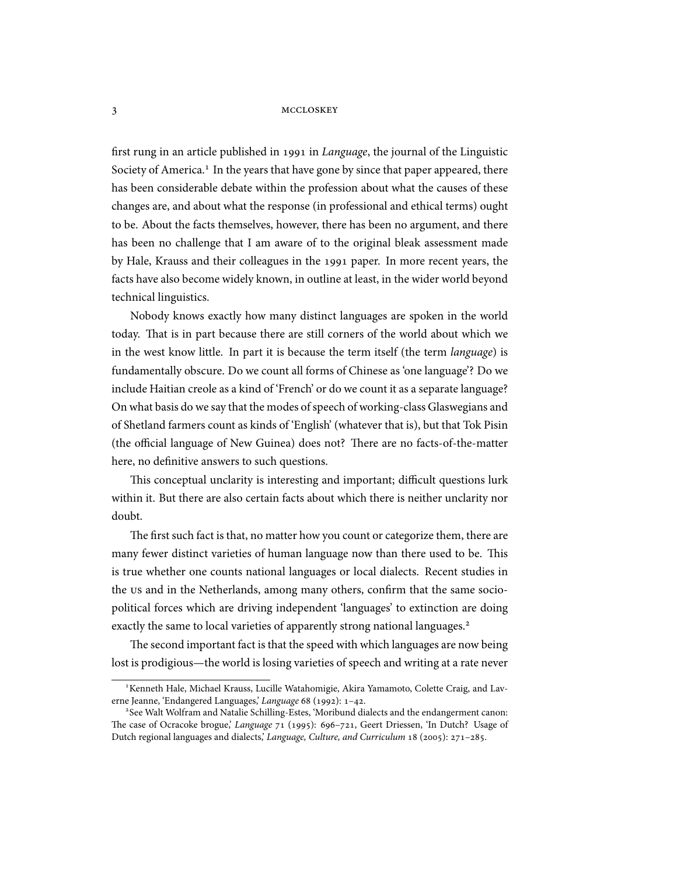first rung in an article published in 1991 in Language, the journal of the Linguistic Society of America.<sup>1</sup> In the years that have gone by since that paper appeared, there has been considerable debate within the profession about what the causes of these changes are, and about what the response (in professional and ethical terms) ought to be. About the facts themselves, however, there has been no argument, and there has been no challenge that I am aware of to the original bleak assessment made by Hale, Krauss and their colleagues in the 1991 paper. In more recent years, the facts have also become widely known, in outline at least, in the wider world beyond technical linguistics.

Nobody knows exactly how many distinct languages are spoken in the world today. That is in part because there are still corners of the world about which we in the west know little. In part it is because the term itself (the term language) is fundamentally obscure. Do we count all forms of Chinese as 'one language'? Do we include Haitian creole as a kind of 'French' or do we count it as a separate language? On what basis do we say that the modes of speech of working-class Glaswegians and of Shetland farmers count as kinds of 'English' (whatever that is), but that Tok Pisin (the official language of New Guinea) does not? There are no facts-of-the-matter here, no definitive answers to such questions.

This conceptual unclarity is interesting and important; difficult questions lurk within it. But there are also certain facts about which there is neither unclarity nor doubt.

The first such fact is that, no matter how you count or categorize them, there are many fewer distinct varieties of human language now than there used to be. This is true whether one counts national languages or local dialects. Recent studies in the us and in the Netherlands, among many others, confirm that the same sociopolitical forces which are driving independent 'languages' to extinction are doing exactly the same to local varieties of apparently strong national languages.<sup>2</sup>

The second important fact is that the speed with which languages are now being lost is prodigious—the world is losing varieties of speech and writing at a rate never

<sup>&</sup>lt;sup>1</sup> Kenneth Hale, Michael Krauss, Lucille Watahomigie, Akira Yamamoto, Colette Craig, and Laverne Jeanne, 'Endangered Languages,' Language 68 (1992): 1-42.

<sup>&</sup>lt;sup>2</sup>See Walt Wolfram and Natalie Schilling-Estes, 'Moribund dialects and the endangerment canon: The case of Ocracoke brogue,' Language 71 (1995): 696-721, Geert Driessen, 'In Dutch? Usage of Dutch regional languages and dialects,' Language, Culture, and Curriculum 18 (2005): 271-285.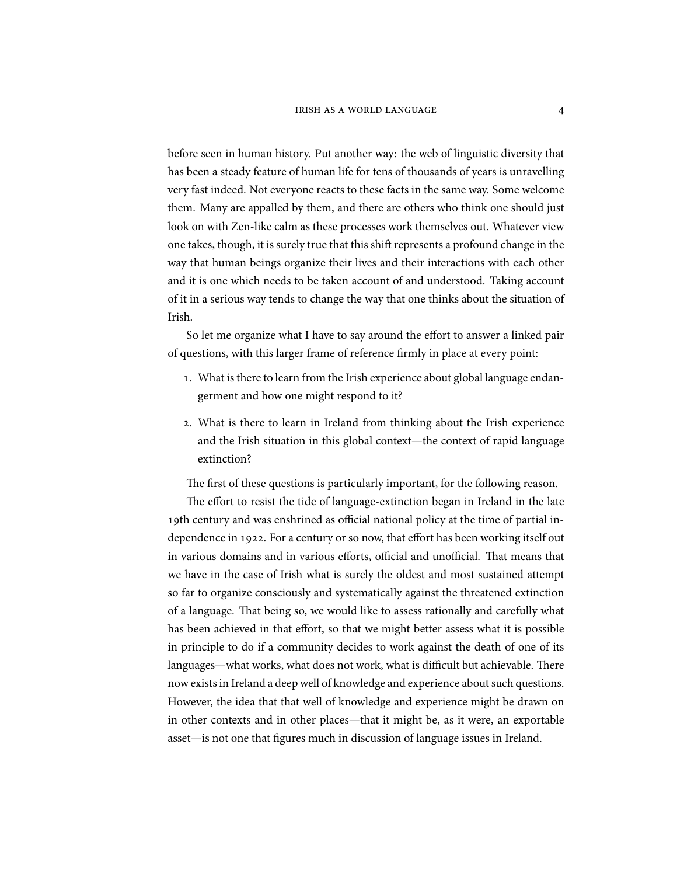before seen in human history. Put another way: the web of linguistic diversity that has been a steady feature of human life for tens of thousands of years is unravelling very fast indeed. Not everyone reacts to these facts in the same way. Some welcome them. Many are appalled by them, and there are others who think one should just look on with Zen-like calm as these processes work themselves out. Whatever view one takes, though, it is surely true that this shi
 represents a profound change in the way that human beings organize their lives and their interactions with each other and it is one which needs to be taken account of and understood. Taking account of it in a serious way tends to change the way that one thinks about the situation of Irish.

So let me organize what I have to say around the effort to answer a linked pair of questions, with this larger frame of reference firmly in place at every point:

- . What is there to learn from the Irish experience about global language endangerment and how one might respond to it?
- . What is there to learn in Ireland from thinking about the Irish experience and the Irish situation in this global context—the context of rapid language extinction?

The first of these questions is particularly important, for the following reason.

The effort to resist the tide of language-extinction began in Ireland in the late 19th century and was enshrined as official national policy at the time of partial independence in 1922. For a century or so now, that effort has been working itself out in various domains and in various efforts, official and unofficial. That means that we have in the case of Irish what is surely the oldest and most sustained attempt so far to organize consciously and systematically against the threatened extinction of a language. That being so, we would like to assess rationally and carefully what has been achieved in that effort, so that we might better assess what it is possible in principle to do if a community decides to work against the death of one of its languages—what works, what does not work, what is difficult but achievable. There now exists in Ireland a deep well of knowledge and experience about such questions. However, the idea that that well of knowledge and experience might be drawn on in other contexts and in other places—that it might be, as it were, an exportable asset—is not one that figures much in discussion of language issues in Ireland.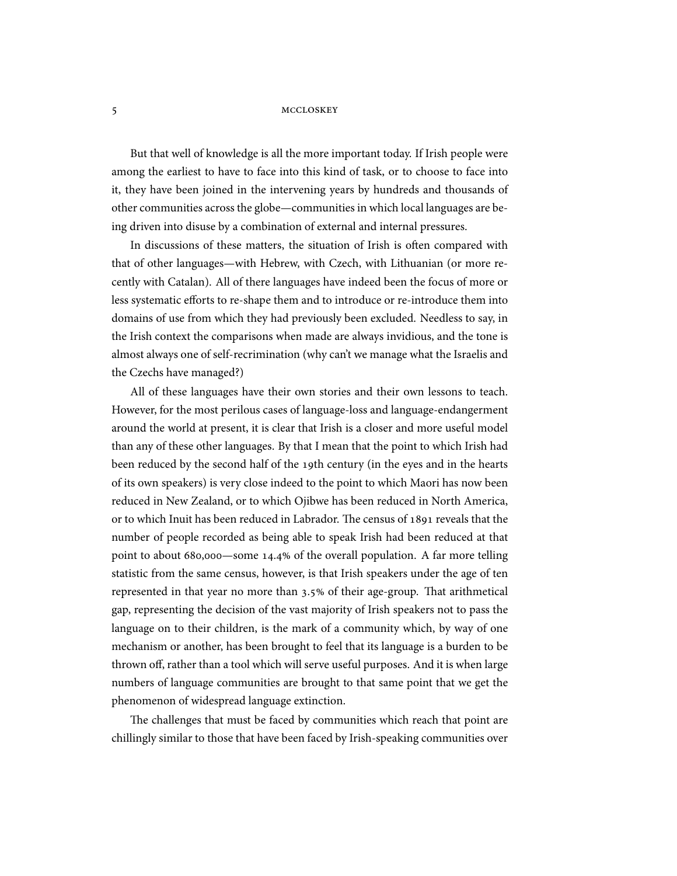But that well of knowledge is all the more important today. If Irish people were among the earliest to have to face into this kind of task, or to choose to face into it, they have been joined in the intervening years by hundreds and thousands of other communities across the globe—communities in which local languages are being driven into disuse by a combination of external and internal pressures.

In discussions of these matters, the situation of Irish is often compared with that of other languages—with Hebrew, with Czech, with Lithuanian (or more recently with Catalan). All of there languages have indeed been the focus of more or less systematic efforts to re-shape them and to introduce or re-introduce them into domains of use from which they had previously been excluded. Needless to say, in the Irish context the comparisons when made are always invidious, and the tone is almost always one of self-recrimination (why can't we manage what the Israelis and the Czechs have managed?)

All of these languages have their own stories and their own lessons to teach. However, for the most perilous cases of language-loss and language-endangerment around the world at present, it is clear that Irish is a closer and more useful model than any of these other languages. By that I mean that the point to which Irish had been reduced by the second half of the 19th century (in the eyes and in the hearts of its own speakers) is very close indeed to the point to which Maori has now been reduced in New Zealand, or to which Ojibwe has been reduced in North America, or to which Inuit has been reduced in Labrador. The census of 1891 reveals that the number of people recorded as being able to speak Irish had been reduced at that point to about 680,000—some 14.4% of the overall population. A far more telling statistic from the same census, however, is that Irish speakers under the age of ten represented in that year no more than 3.5% of their age-group. That arithmetical gap, representing the decision of the vast majority of Irish speakers not to pass the language on to their children, is the mark of a community which, by way of one mechanism or another, has been brought to feel that its language is a burden to be thrown off, rather than a tool which will serve useful purposes. And it is when large numbers of language communities are brought to that same point that we get the phenomenon of widespread language extinction.

The challenges that must be faced by communities which reach that point are chillingly similar to those that have been faced by Irish-speaking communities over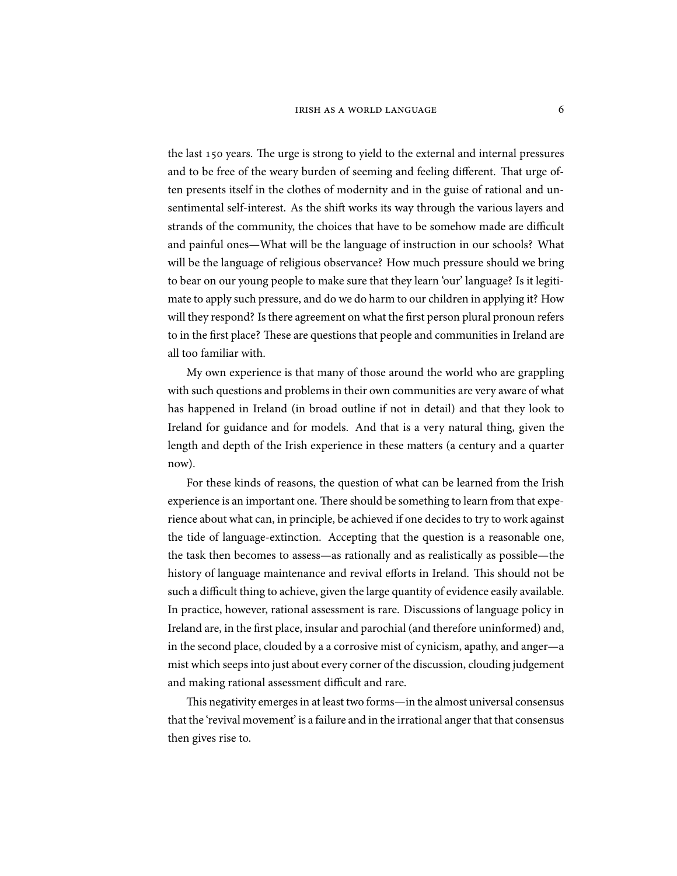the last 150 years. The urge is strong to yield to the external and internal pressures and to be free of the weary burden of seeming and feeling different. That urge often presents itself in the clothes of modernity and in the guise of rational and unsentimental self-interest. As the shi works its way through the various layers and strands of the community, the choices that have to be somehow made are difficult and painful ones—What will be the language of instruction in our schools? What will be the language of religious observance? How much pressure should we bring to bear on our young people to make sure that they learn 'our' language? Is it legitimate to apply such pressure, and do we do harm to our children in applying it? How will they respond? Is there agreement on what the first person plural pronoun refers to in the first place? These are questions that people and communities in Ireland are all too familiar with.

My own experience is that many of those around the world who are grappling with such questions and problems in their own communities are very aware of what has happened in Ireland (in broad outline if not in detail) and that they look to Ireland for guidance and for models. And that is a very natural thing, given the length and depth of the Irish experience in these matters (a century and a quarter now).

For these kinds of reasons, the question of what can be learned from the Irish experience is an important one. There should be something to learn from that experience about what can, in principle, be achieved if one decides to try to work against the tide of language-extinction. Accepting that the question is a reasonable one, the task then becomes to assess—as rationally and as realistically as possible—the history of language maintenance and revival efforts in Ireland. This should not be such a difficult thing to achieve, given the large quantity of evidence easily available. In practice, however, rational assessment is rare. Discussions of language policy in Ireland are, in the first place, insular and parochial (and therefore uninformed) and, in the second place, clouded by a a corrosive mist of cynicism, apathy, and anger—a mist which seeps into just about every corner of the discussion, clouding judgement and making rational assessment difficult and rare.

This negativity emerges in at least two forms—in the almost universal consensus that the 'revival movement' is a failure and in the irrational anger that that consensus then gives rise to.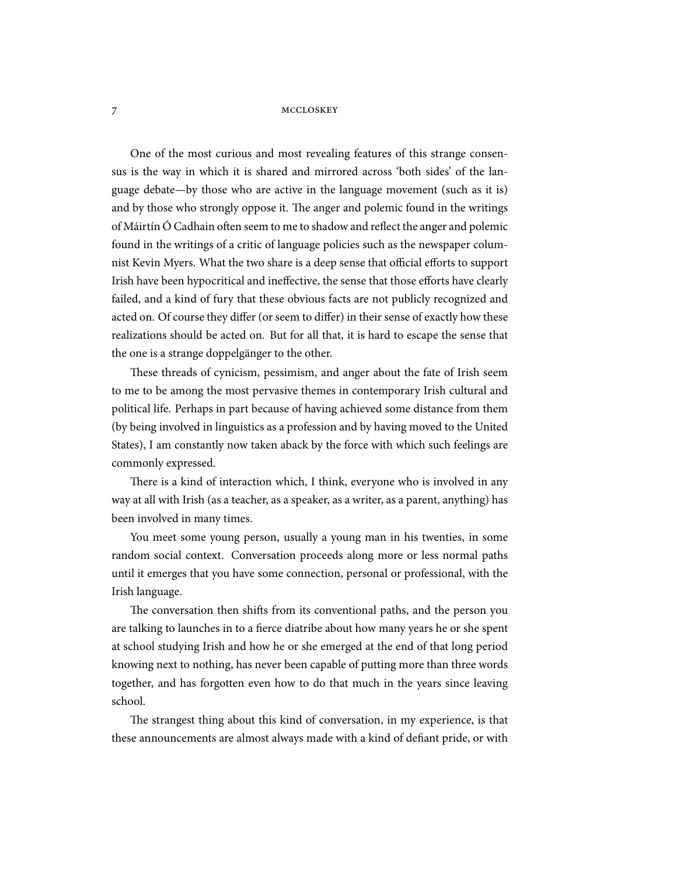One of the most curious and most revealing features of this strange consensus is the way in which it is shared and mirrored across 'both sides' of the language debate—by those who are active in the language movement (such as it is) and by those who strongly oppose it. The anger and polemic found in the writings of Máirtín Ó Cadhain often seem to me to shadow and reflect the anger and polemic found in the writings of a critic of language policies such as the newspaper columnist Kevin Myers. What the two share is a deep sense that official efforts to support Irish have been hypocritical and ineffective, the sense that those efforts have clearly failed, and a kind of fury that these obvious facts are not publicly recognized and acted on. Of course they differ (or seem to differ) in their sense of exactly how these realizations should be acted on. But for all that, it is hard to escape the sense that the one is a strange doppelgänger to the other.

These threads of cynicism, pessimism, and anger about the fate of Irish seem to me to be among the most pervasive themes in contemporary Irish cultural and political life. Perhaps in part because of having achieved some distance from them (by being involved in linguistics as a profession and by having moved to the United States), I am constantly now taken aback by the force with which such feelings are commonly expressed.

There is a kind of interaction which, I think, everyone who is involved in any way at all with Irish (as a teacher, as a speaker, as a writer, as a parent, anything) has been involved in many times.

You meet some young person, usually a young man in his twenties, in some random social context. Conversation proceeds along more or less normal paths until it emerges that you have some connection, personal or professional, with the Irish language.

The conversation then shifts from its conventional paths, and the person you are talking to launches in to a fierce diatribe about how many years he or she spent at school studying Irish and how he or she emerged at the end of that long period knowing next to nothing, has never been capable of putting more than three words together, and has forgotten even how to do that much in the years since leaving school.

The strangest thing about this kind of conversation, in my experience, is that these announcements are almost always made with a kind of defiant pride, or with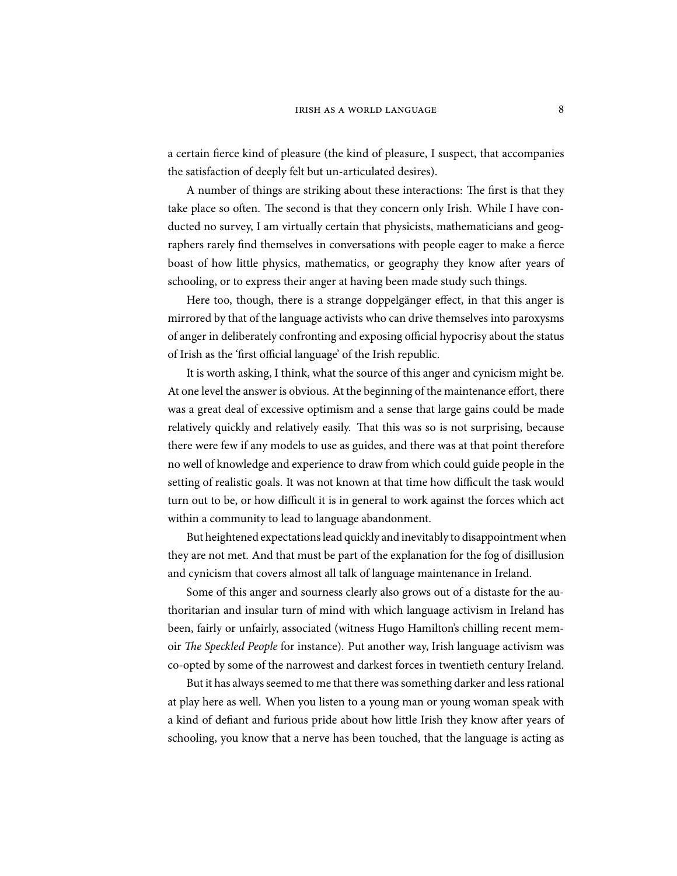a certain fierce kind of pleasure (the kind of pleasure, I suspect, that accompanies the satisfaction of deeply felt but un-articulated desires).

A number of things are striking about these interactions: The first is that they take place so often. The second is that they concern only Irish. While I have conducted no survey, I am virtually certain that physicists, mathematicians and geographers rarely find themselves in conversations with people eager to make a fierce boast of how little physics, mathematics, or geography they know after years of schooling, or to express their anger at having been made study such things.

Here too, though, there is a strange doppelgänger effect, in that this anger is mirrored by that of the language activists who can drive themselves into paroxysms of anger in deliberately confronting and exposing official hypocrisy about the status of Irish as the 'first official language' of the Irish republic.

It is worth asking, I think, what the source of this anger and cynicism might be. At one level the answer is obvious. At the beginning of the maintenance effort, there was a great deal of excessive optimism and a sense that large gains could be made relatively quickly and relatively easily. That this was so is not surprising, because there were few if any models to use as guides, and there was at that point therefore no well of knowledge and experience to draw from which could guide people in the setting of realistic goals. It was not known at that time how difficult the task would turn out to be, or how difficult it is in general to work against the forces which act within a community to lead to language abandonment.

But heightened expectations lead quickly and inevitably to disappointment when they are not met. And that must be part of the explanation for the fog of disillusion and cynicism that covers almost all talk of language maintenance in Ireland.

Some of this anger and sourness clearly also grows out of a distaste for the authoritarian and insular turn of mind with which language activism in Ireland has been, fairly or unfairly, associated (witness Hugo Hamilton's chilling recent memoir The Speckled People for instance). Put another way, Irish language activism was co-opted by some of the narrowest and darkest forces in twentieth century Ireland.

But it has always seemed to me that there was something darker and less rational at play here as well. When you listen to a young man or young woman speak with a kind of defiant and furious pride about how little Irish they know after years of schooling, you know that a nerve has been touched, that the language is acting as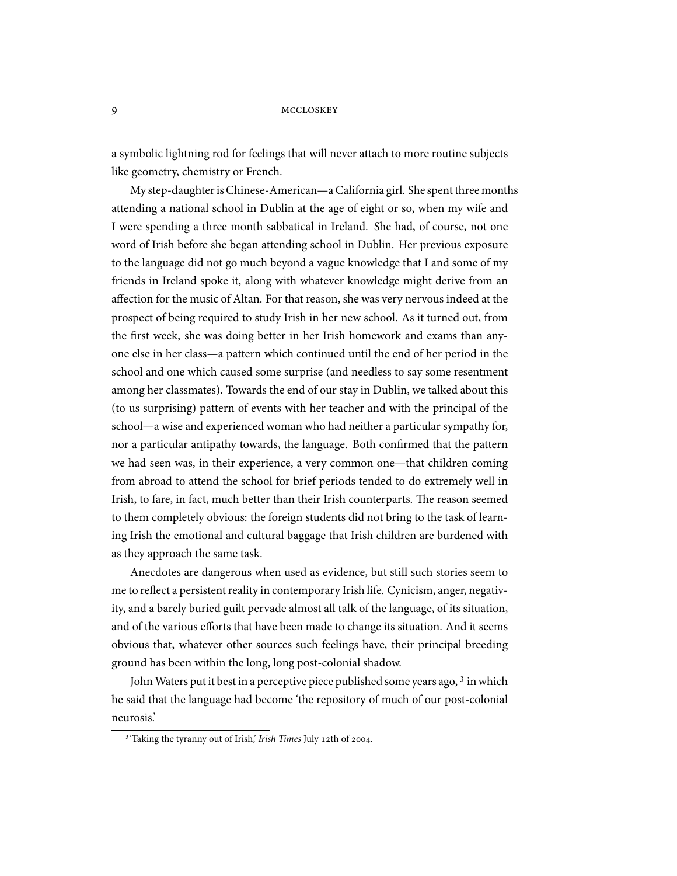a symbolic lightning rod for feelings that will never attach to more routine subjects like geometry, chemistry or French.

My step-daughter is Chinese-American—a California girl. She spent three months attending a national school in Dublin at the age of eight or so, when my wife and I were spending a three month sabbatical in Ireland. She had, of course, not one word of Irish before she began attending school in Dublin. Her previous exposure to the language did not go much beyond a vague knowledge that I and some of my friends in Ireland spoke it, along with whatever knowledge might derive from an affection for the music of Altan. For that reason, she was very nervous indeed at the prospect of being required to study Irish in her new school. As it turned out, from the first week, she was doing better in her Irish homework and exams than anyone else in her class—a pattern which continued until the end of her period in the school and one which caused some surprise (and needless to say some resentment among her classmates). Towards the end of our stay in Dublin, we talked about this (to us surprising) pattern of events with her teacher and with the principal of the school—a wise and experienced woman who had neither a particular sympathy for, nor a particular antipathy towards, the language. Both confirmed that the pattern we had seen was, in their experience, a very common one—that children coming from abroad to attend the school for brief periods tended to do extremely well in Irish, to fare, in fact, much better than their Irish counterparts. The reason seemed to them completely obvious: the foreign students did not bring to the task of learning Irish the emotional and cultural baggage that Irish children are burdened with as they approach the same task.

Anecdotes are dangerous when used as evidence, but still such stories seem to me to reflect a persistent reality in contemporary Irish life. Cynicism, anger, negativity, and a barely buried guilt pervade almost all talk of the language, of its situation, and of the various efforts that have been made to change its situation. And it seems obvious that, whatever other sources such feelings have, their principal breeding ground has been within the long, long post-colonial shadow.

John Waters put it best in a perceptive piece published some years ago, <sup>3</sup> in which he said that the language had become 'the repository of much of our post-colonial neurosis.'

<sup>&</sup>lt;sup>3</sup>'Taking the tyranny out of Irish,' Irish Times July 12th of 2004.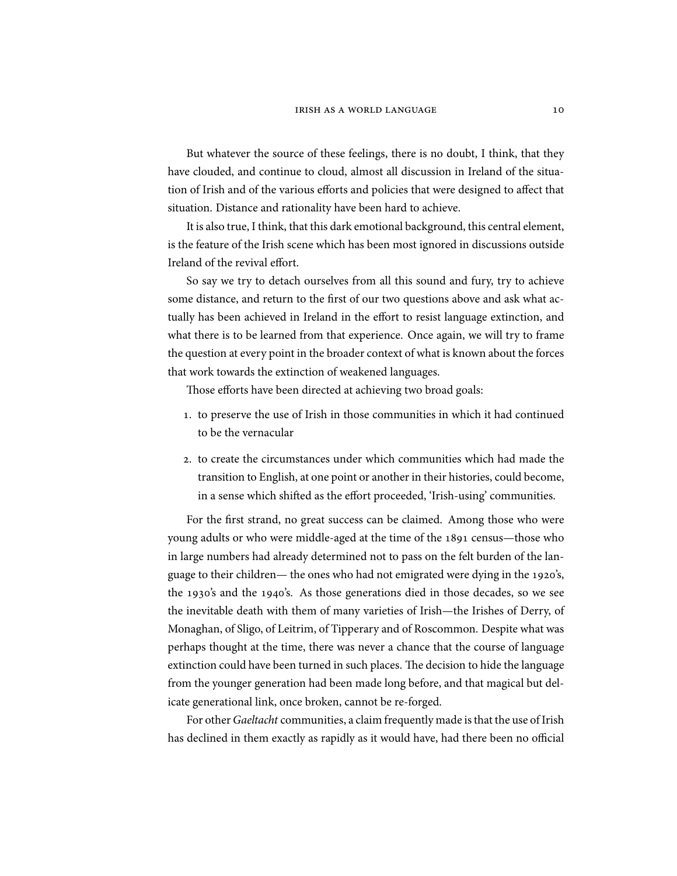But whatever the source of these feelings, there is no doubt, I think, that they have clouded, and continue to cloud, almost all discussion in Ireland of the situation of Irish and of the various efforts and policies that were designed to affect that situation. Distance and rationality have been hard to achieve.

It is also true, I think, that this dark emotional background, this central element, is the feature of the Irish scene which has been most ignored in discussions outside Ireland of the revival effort.

So say we try to detach ourselves from all this sound and fury, try to achieve some distance, and return to the first of our two questions above and ask what actually has been achieved in Ireland in the effort to resist language extinction, and what there is to be learned from that experience. Once again, we will try to frame the question at every point in the broader context of what is known about the forces that work towards the extinction of weakened languages.

Those efforts have been directed at achieving two broad goals:

- . to preserve the use of Irish in those communities in which it had continued to be the vernacular
- . to create the circumstances under which communities which had made the transition to English, at one point or another in their histories, could become, in a sense which shifted as the effort proceeded, 'Irish-using' communities.

For the first strand, no great success can be claimed. Among those who were young adults or who were middle-aged at the time of the 1891 census—those who in large numbers had already determined not to pass on the felt burden of the language to their children— the ones who had not emigrated were dying in the 1920's, the  $1930's$  and the  $1940's$ . As those generations died in those decades, so we see the inevitable death with them of many varieties of Irish—the Irishes of Derry, of Monaghan, of Sligo, of Leitrim, of Tipperary and of Roscommon. Despite what was perhaps thought at the time, there was never a chance that the course of language extinction could have been turned in such places. The decision to hide the language from the younger generation had been made long before, and that magical but delicate generational link, once broken, cannot be re-forged.

For other Gaeltacht communities, a claim frequently made is that the use of Irish has declined in them exactly as rapidly as it would have, had there been no official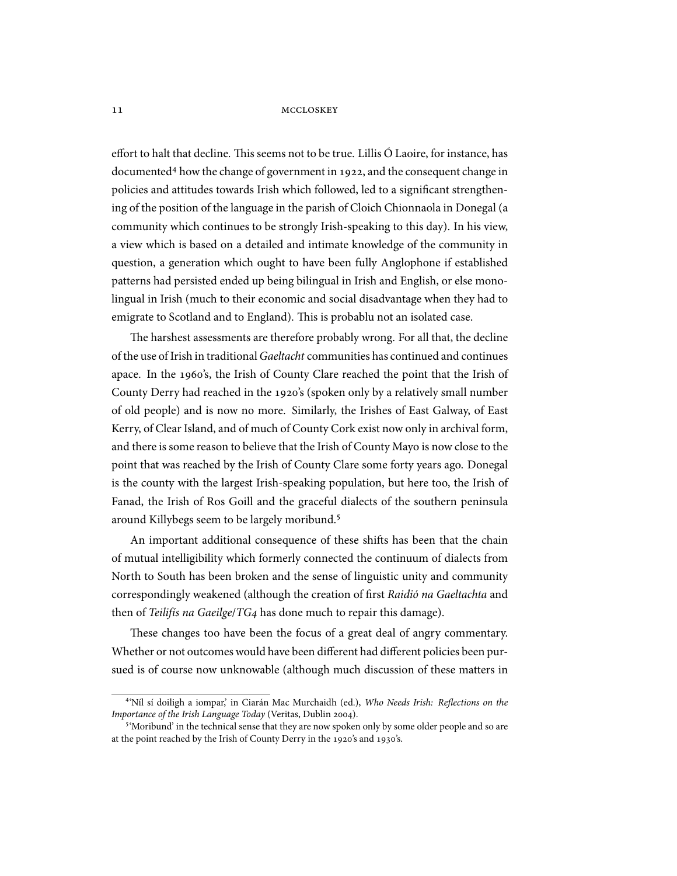effort to halt that decline. This seems not to be true. Lillis Ó Laoire, for instance, has documented<sup>4</sup> how the change of government in 1922, and the consequent change in policies and attitudes towards Irish which followed, led to a significant strengthening of the position of the language in the parish of Cloich Chionnaola in Donegal (a community which continues to be strongly Irish-speaking to this day). In his view, a view which is based on a detailed and intimate knowledge of the community in question, a generation which ought to have been fully Anglophone if established patterns had persisted ended up being bilingual in Irish and English, or else monolingual in Irish (much to their economic and social disadvantage when they had to emigrate to Scotland and to England). This is probablu not an isolated case.

The harshest assessments are therefore probably wrong. For all that, the decline of the use of Irish in traditionalGaeltacht communities has continued and continues apace. In the 1960's, the Irish of County Clare reached the point that the Irish of County Derry had reached in the 1920's (spoken only by a relatively small number of old people) and is now no more. Similarly, the Irishes of East Galway, of East Kerry, of Clear Island, and of much of County Cork exist now only in archival form, and there is some reason to believe that the Irish of County Mayo is now close to the point that was reached by the Irish of County Clare some forty years ago. Donegal is the county with the largest Irish-speaking population, but here too, the Irish of Fanad, the Irish of Ros Goill and the graceful dialects of the southern peninsula around Killybegs seem to be largely moribund.

An important additional consequence of these shi
s has been that the chain of mutual intelligibility which formerly connected the continuum of dialects from North to South has been broken and the sense of linguistic unity and community correspondingly weakened (although the creation of first Raidió na Gaeltachta and then of Teilifís na Gaeilge/TG4 has done much to repair this damage).

These changes too have been the focus of a great deal of angry commentary. Whether or not outcomes would have been different had different policies been pursued is of course now unknowable (although much discussion of these matters in

<sup>&</sup>lt;sup>4</sup>'Níl sí doiligh a iompar,' in Ciarán Mac Murchaidh (ed.), Who Needs Irish: Reflections on the Importance of the Irish Language Today (Veritas, Dublin 2004).

<sup>&</sup>lt;sup>5</sup>'Moribund' in the technical sense that they are now spoken only by some older people and so are at the point reached by the Irish of County Derry in the 1920's and 1930's.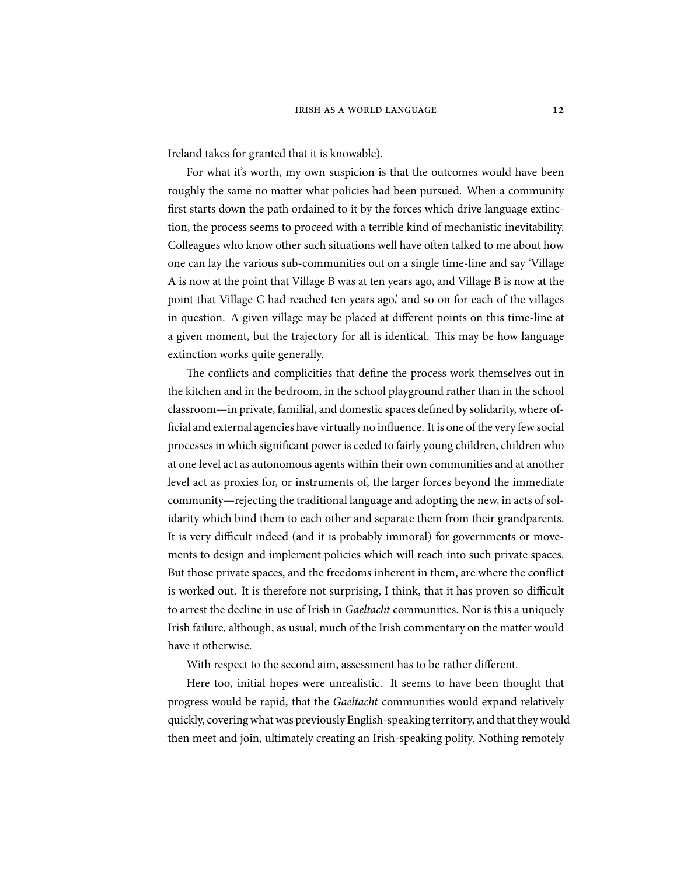Ireland takes for granted that it is knowable).

For what it's worth, my own suspicion is that the outcomes would have been roughly the same no matter what policies had been pursued. When a community first starts down the path ordained to it by the forces which drive language extinction, the process seems to proceed with a terrible kind of mechanistic inevitability. Colleagues who know other such situations well have often talked to me about how one can lay the various sub-communities out on a single time-line and say 'Village A is now at the point that Village B was at ten years ago, and Village B is now at the point that Village C had reached ten years ago,' and so on for each of the villages in question. A given village may be placed at different points on this time-line at a given moment, but the trajectory for all is identical. This may be how language extinction works quite generally.

The conflicts and complicities that define the process work themselves out in the kitchen and in the bedroom, in the school playground rather than in the school classroom—in private, familial, and domestic spaces defined by solidarity, where official and external agencies have virtually no influence. It is one of the very few social processes in which significant power is ceded to fairly young children, children who at one level act as autonomous agents within their own communities and at another level act as proxies for, or instruments of, the larger forces beyond the immediate community—rejecting the traditional language and adopting the new, in acts of solidarity which bind them to each other and separate them from their grandparents. It is very difficult indeed (and it is probably immoral) for governments or movements to design and implement policies which will reach into such private spaces. But those private spaces, and the freedoms inherent in them, are where the conflict is worked out. It is therefore not surprising, I think, that it has proven so difficult to arrest the decline in use of Irish in Gaeltacht communities. Nor is this a uniquely Irish failure, although, as usual, much of the Irish commentary on the matter would have it otherwise.

With respect to the second aim, assessment has to be rather different.

Here too, initial hopes were unrealistic. It seems to have been thought that progress would be rapid, that the Gaeltacht communities would expand relatively quickly, covering what was previously English-speaking territory, and that they would then meet and join, ultimately creating an Irish-speaking polity. Nothing remotely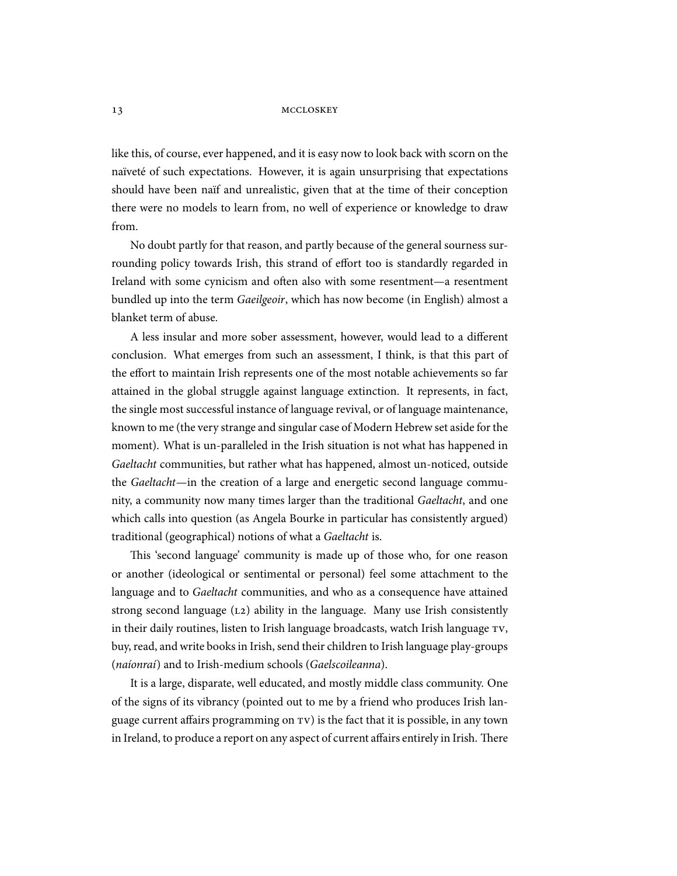like this, of course, ever happened, and it is easy now to look back with scorn on the naïveté of such expectations. However, it is again unsurprising that expectations should have been naïf and unrealistic, given that at the time of their conception there were no models to learn from, no well of experience or knowledge to draw from.

No doubt partly for that reason, and partly because of the general sourness surrounding policy towards Irish, this strand of effort too is standardly regarded in Ireland with some cynicism and often also with some resentment—a resentment bundled up into the term Gaeilgeoir, which has now become (in English) almost a blanket term of abuse.

A less insular and more sober assessment, however, would lead to a different conclusion. What emerges from such an assessment, I think, is that this part of the effort to maintain Irish represents one of the most notable achievements so far attained in the global struggle against language extinction. It represents, in fact, the single most successful instance of language revival, or of language maintenance, known to me (the very strange and singular case of Modern Hebrew set aside for the moment). What is un-paralleled in the Irish situation is not what has happened in Gaeltacht communities, but rather what has happened, almost un-noticed, outside the Gaeltacht—in the creation of a large and energetic second language community, a community now many times larger than the traditional Gaeltacht, and one which calls into question (as Angela Bourke in particular has consistently argued) traditional (geographical) notions of what a Gaeltacht is.

This 'second language' community is made up of those who, for one reason or another (ideological or sentimental or personal) feel some attachment to the language and to Gaeltacht communities, and who as a consequence have attained strong second language  $(L_2)$  ability in the language. Many use Irish consistently in their daily routines, listen to Irish language broadcasts, watch Irish language TV, buy, read, and write books in Irish, send their children to Irish language play-groups (naíonraí) and to Irish-medium schools (Gaelscoileanna).

It is a large, disparate, well educated, and mostly middle class community. One of the signs of its vibrancy (pointed out to me by a friend who produces Irish language current affairs programming on  $\tau v$ ) is the fact that it is possible, in any town in Ireland, to produce a report on any aspect of current affairs entirely in Irish. There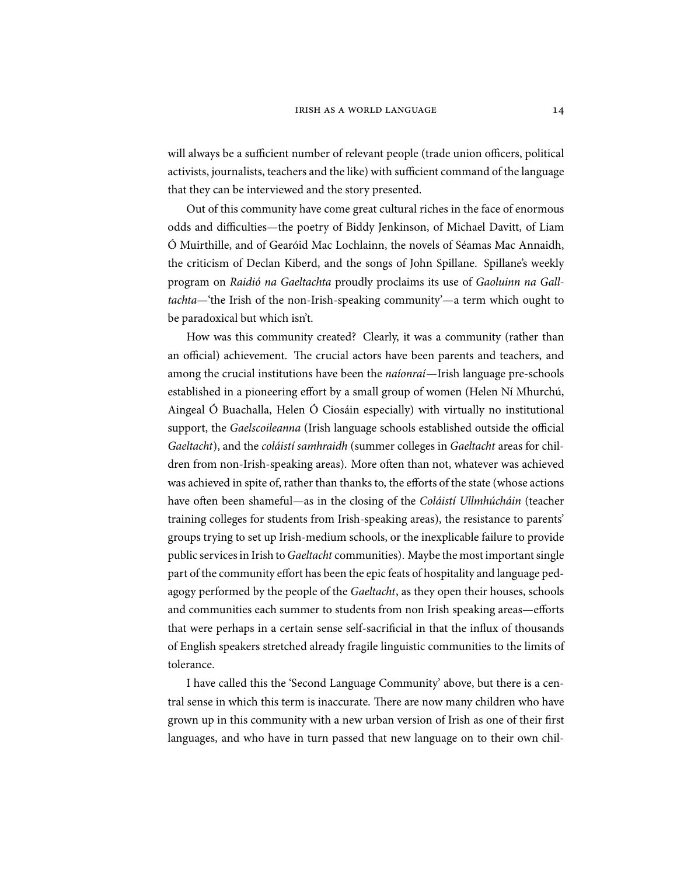will always be a sufficient number of relevant people (trade union officers, political activists, journalists, teachers and the like) with sufficient command of the language that they can be interviewed and the story presented.

Out of this community have come great cultural riches in the face of enormous odds and difficulties—the poetry of Biddy Jenkinson, of Michael Davitt, of Liam Ó Muirthille, and of Gearóid Mac Lochlainn, the novels of Séamas Mac Annaidh, the criticism of Declan Kiberd, and the songs of John Spillane. Spillane's weekly program on Raidió na Gaeltachta proudly proclaims its use of Gaoluinn na Galltachta—'the Irish of the non-Irish-speaking community'—a term which ought to be paradoxical but which isn't.

How was this community created? Clearly, it was a community (rather than an official) achievement. The crucial actors have been parents and teachers, and among the crucial institutions have been the naíonraí—Irish language pre-schools established in a pioneering effort by a small group of women (Helen Ní Mhurchú, Aingeal Ó Buachalla, Helen Ó Ciosáin especially) with virtually no institutional support, the *Gaelscoileanna* (Irish language schools established outside the official Gaeltacht), and the coláistí samhraidh (summer colleges in Gaeltacht areas for children from non-Irish-speaking areas). More often than not, whatever was achieved was achieved in spite of, rather than thanks to, the efforts of the state (whose actions have often been shameful—as in the closing of the Coláistí Ullmhúcháin (teacher training colleges for students from Irish-speaking areas), the resistance to parents' groups trying to set up Irish-medium schools, or the inexplicable failure to provide public services in Irish toGaeltacht communities). Maybe the most important single part of the community effort has been the epic feats of hospitality and language pedagogy performed by the people of the Gaeltacht, as they open their houses, schools and communities each summer to students from non Irish speaking areas—efforts that were perhaps in a certain sense self-sacrificial in that the influx of thousands of English speakers stretched already fragile linguistic communities to the limits of tolerance.

I have called this the 'Second Language Community' above, but there is a central sense in which this term is inaccurate. There are now many children who have grown up in this community with a new urban version of Irish as one of their first languages, and who have in turn passed that new language on to their own chil-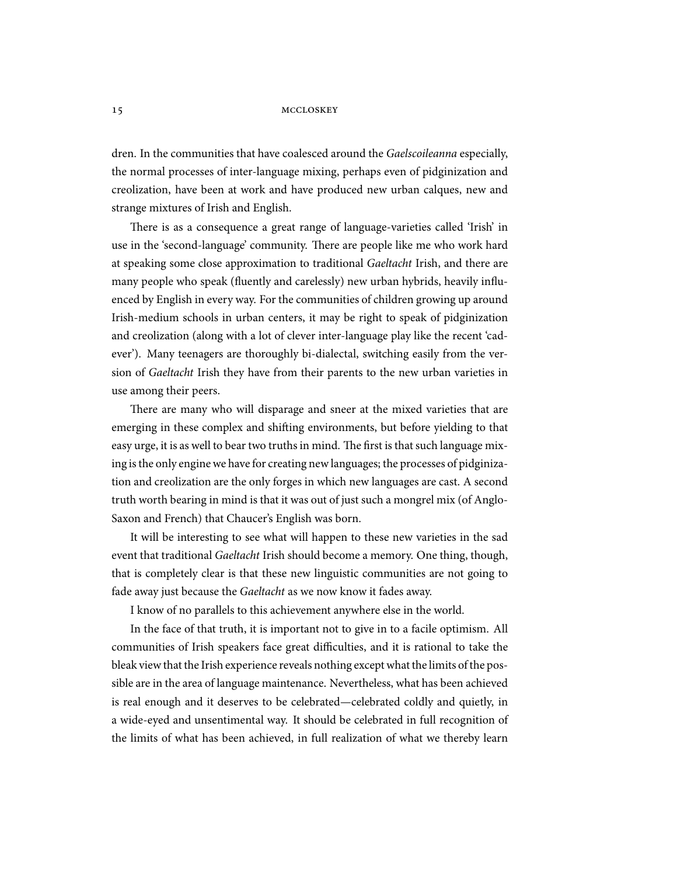dren. In the communities that have coalesced around the *Gaelscoileanna* especially, the normal processes of inter-language mixing, perhaps even of pidginization and creolization, have been at work and have produced new urban calques, new and strange mixtures of Irish and English.

There is as a consequence a great range of language-varieties called 'Irish' in use in the 'second-language' community. There are people like me who work hard at speaking some close approximation to traditional Gaeltacht Irish, and there are many people who speak (fluently and carelessly) new urban hybrids, heavily influenced by English in every way. For the communities of children growing up around Irish-medium schools in urban centers, it may be right to speak of pidginization and creolization (along with a lot of clever inter-language play like the recent 'cadever'). Many teenagers are thoroughly bi-dialectal, switching easily from the version of Gaeltacht Irish they have from their parents to the new urban varieties in use among their peers.

There are many who will disparage and sneer at the mixed varieties that are emerging in these complex and shi
ing environments, but before yielding to that easy urge, it is as well to bear two truths in mind. The first is that such language mixing is the only engine we have for creating new languages; the processes of pidginization and creolization are the only forges in which new languages are cast. A second truth worth bearing in mind is that it was out of just such a mongrel mix (of Anglo-Saxon and French) that Chaucer's English was born.

It will be interesting to see what will happen to these new varieties in the sad event that traditional Gaeltacht Irish should become a memory. One thing, though, that is completely clear is that these new linguistic communities are not going to fade away just because the Gaeltacht as we now know it fades away.

I know of no parallels to this achievement anywhere else in the world.

In the face of that truth, it is important not to give in to a facile optimism. All communities of Irish speakers face great difficulties, and it is rational to take the bleak view that the Irish experience reveals nothing exceptwhat the limits of the possible are in the area of language maintenance. Nevertheless, what has been achieved is real enough and it deserves to be celebrated—celebrated coldly and quietly, in a wide-eyed and unsentimental way. It should be celebrated in full recognition of the limits of what has been achieved, in full realization of what we thereby learn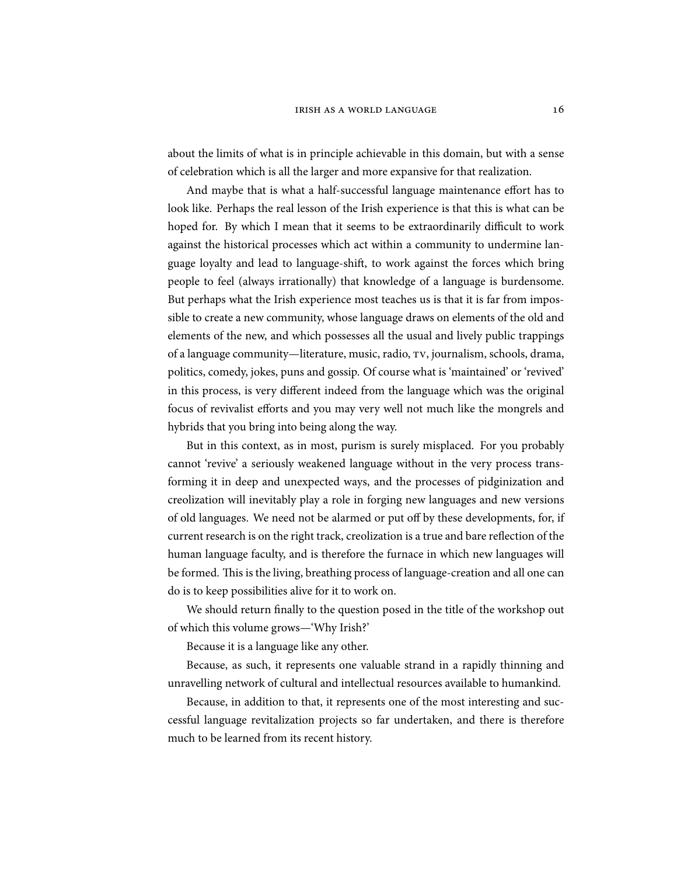about the limits of what is in principle achievable in this domain, but with a sense of celebration which is all the larger and more expansive for that realization.

And maybe that is what a half-successful language maintenance effort has to look like. Perhaps the real lesson of the Irish experience is that this is what can be hoped for. By which I mean that it seems to be extraordinarily difficult to work against the historical processes which act within a community to undermine language loyalty and lead to language-shi
, to work against the forces which bring people to feel (always irrationally) that knowledge of a language is burdensome. But perhaps what the Irish experience most teaches us is that it is far from impossible to create a new community, whose language draws on elements of the old and elements of the new, and which possesses all the usual and lively public trappings of a language community—literature, music, radio, TV, journalism, schools, drama, politics, comedy, jokes, puns and gossip. Of course what is 'maintained' or 'revived' in this process, is very different indeed from the language which was the original focus of revivalist efforts and you may very well not much like the mongrels and hybrids that you bring into being along the way.

But in this context, as in most, purism is surely misplaced. For you probably cannot 'revive' a seriously weakened language without in the very process transforming it in deep and unexpected ways, and the processes of pidginization and creolization will inevitably play a role in forging new languages and new versions of old languages. We need not be alarmed or put off by these developments, for, if current research is on the right track, creolization is a true and bare reflection of the human language faculty, and is therefore the furnace in which new languages will be formed. This is the living, breathing process of language-creation and all one can do is to keep possibilities alive for it to work on.

We should return finally to the question posed in the title of the workshop out of which this volume grows—'Why Irish?'

Because it is a language like any other.

Because, as such, it represents one valuable strand in a rapidly thinning and unravelling network of cultural and intellectual resources available to humankind.

Because, in addition to that, it represents one of the most interesting and successful language revitalization projects so far undertaken, and there is therefore much to be learned from its recent history.